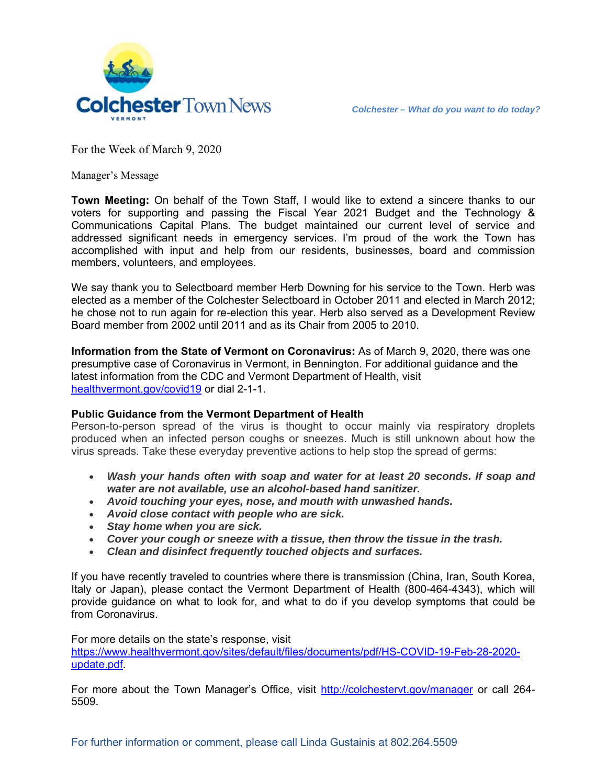

For the Week of March 9, 2020

Manager's Message

**Town Meeting:** On behalf of the Town Staff, I would like to extend a sincere thanks to our voters for supporting and passing the Fiscal Year 2021 Budget and the Technology & Communications Capital Plans. The budget maintained our current level of service and addressed significant needs in emergency services. I'm proud of the work the Town has accomplished with input and help from our residents, businesses, board and commission members, volunteers, and employees.

We say thank you to Selectboard member Herb Downing for his service to the Town. Herb was elected as a member of the Colchester Selectboard in October 2011 and elected in March 2012; he chose not to run again for re-election this year. Herb also served as a Development Review Board member from 2002 until 2011 and as its Chair from 2005 to 2010.

**Information from the State of Vermont on Coronavirus:** As of March 9, 2020, there was one presumptive case of Coronavirus in Vermont, in Bennington. For additional guidance and the latest information from the CDC and Vermont Department of Health, visit healthvermont.gov/covid19 or dial 2-1-1.

## **Public Guidance from the Vermont Department of Health**

Person-to-person spread of the virus is thought to occur mainly via respiratory droplets produced when an infected person coughs or sneezes. Much is still unknown about how the virus spreads. Take these everyday preventive actions to help stop the spread of germs:

- *Wash your hands often with soap and water for at least 20 seconds. If soap and water are not available, use an alcohol-based hand sanitizer.*
- *Avoid touching your eyes, nose, and mouth with unwashed hands.*
- *Avoid close contact with people who are sick.*
- *Stay home when you are sick.*
- *Cover your cough or sneeze with a tissue, then throw the tissue in the trash.*
- *Clean and disinfect frequently touched objects and surfaces.*

If you have recently traveled to countries where there is transmission (China, Iran, South Korea, Italy or Japan), please contact the Vermont Department of Health (800-464-4343), which will provide guidance on what to look for, and what to do if you develop symptoms that could be from Coronavirus.

For more details on the state's response, visit https://www.healthvermont.gov/sites/default/files/documents/pdf/HS-COVID-19-Feb-28-2020 update.pdf.

For more about the Town Manager's Office, visit http://colchestervt.gov/manager or call 264-5509.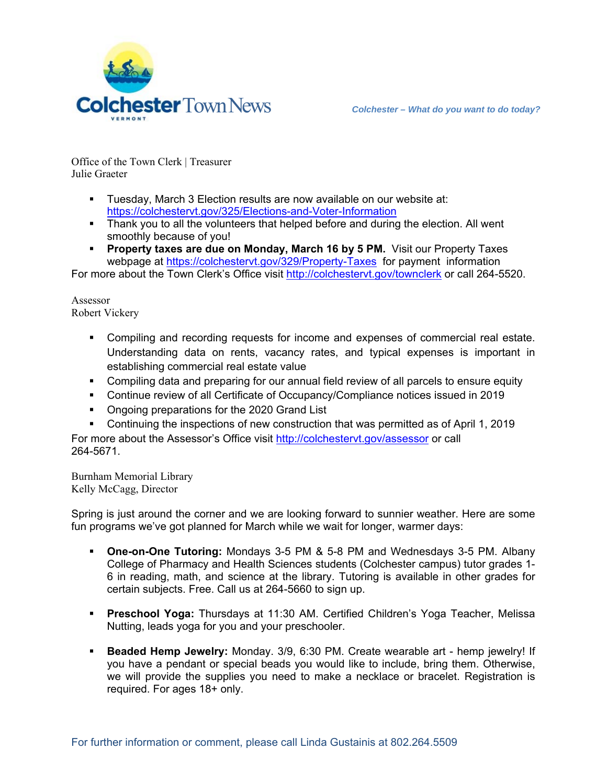

Office of the Town Clerk | Treasurer Julie Graeter

- Tuesday, March 3 Election results are now available on our website at: https://colchestervt.gov/325/Elections-and-Voter-Information
- Thank you to all the volunteers that helped before and during the election. All went smoothly because of you!
- **Property taxes are due on Monday, March 16 by 5 PM.** Visit our Property Taxes webpage at https://colchestervt.gov/329/Property-Taxes for payment information

For more about the Town Clerk's Office visit http://colchestervt.gov/townclerk or call 264-5520.

Assessor Robert Vickery

- Compiling and recording requests for income and expenses of commercial real estate. Understanding data on rents, vacancy rates, and typical expenses is important in establishing commercial real estate value
- Compiling data and preparing for our annual field review of all parcels to ensure equity
- Continue review of all Certificate of Occupancy/Compliance notices issued in 2019
- Ongoing preparations for the 2020 Grand List
- Continuing the inspections of new construction that was permitted as of April 1, 2019

For more about the Assessor's Office visit http://colchestervt.gov/assessor or call 264-5671.

Burnham Memorial Library Kelly McCagg, Director

Spring is just around the corner and we are looking forward to sunnier weather. Here are some fun programs we've got planned for March while we wait for longer, warmer days:

- **One-on-One Tutoring:** Mondays 3-5 PM & 5-8 PM and Wednesdays 3-5 PM. Albany College of Pharmacy and Health Sciences students (Colchester campus) tutor grades 1- 6 in reading, math, and science at the library. Tutoring is available in other grades for certain subjects. Free. Call us at 264-5660 to sign up.
- **Preschool Yoga:** Thursdays at 11:30 AM. Certified Children's Yoga Teacher, Melissa Nutting, leads yoga for you and your preschooler.
- **Beaded Hemp Jewelry:** Monday. 3/9, 6:30 PM. Create wearable art hemp jewelry! If you have a pendant or special beads you would like to include, bring them. Otherwise, we will provide the supplies you need to make a necklace or bracelet. Registration is required. For ages 18+ only.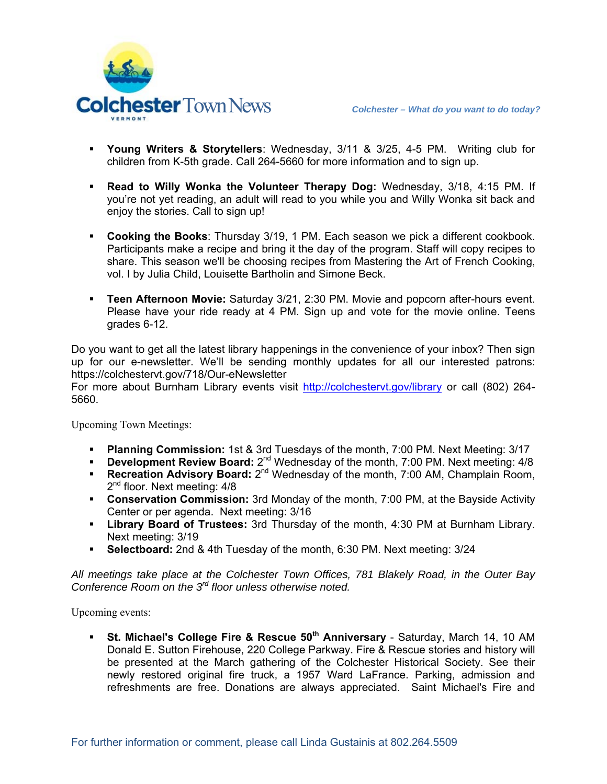



- **Young Writers & Storytellers**: Wednesday, 3/11 & 3/25, 4-5 PM. Writing club for children from K-5th grade. Call 264-5660 for more information and to sign up.
- **Read to Willy Wonka the Volunteer Therapy Dog:** Wednesday, 3/18, 4:15 PM. If you're not yet reading, an adult will read to you while you and Willy Wonka sit back and enjoy the stories. Call to sign up!
- **Cooking the Books**: Thursday 3/19, 1 PM. Each season we pick a different cookbook. Participants make a recipe and bring it the day of the program. Staff will copy recipes to share. This season we'll be choosing recipes from Mastering the Art of French Cooking, vol. I by Julia Child, Louisette Bartholin and Simone Beck.
- **Teen Afternoon Movie:** Saturday 3/21, 2:30 PM. Movie and popcorn after-hours event. Please have your ride ready at 4 PM. Sign up and vote for the movie online. Teens grades 6-12.

Do you want to get all the latest library happenings in the convenience of your inbox? Then sign up for our e-newsletter. We'll be sending monthly updates for all our interested patrons: https://colchestervt.gov/718/Our-eNewsletter

For more about Burnham Library events visit http://colchestervt.gov/library or call (802) 264-5660.

Upcoming Town Meetings:

- **Planning Commission:** 1st & 3rd Tuesdays of the month, 7:00 PM. Next Meeting: 3/17
- **Development Review Board:** 2<sup>nd</sup> Wednesday of the month, 7:00 PM. Next meeting: 4/8
- **Recreation Advisory Board:** 2<sup>nd</sup> Wednesday of the month, 7:00 AM, Champlain Room, 2<sup>nd</sup> floor. Next meeting: 4/8
- **Conservation Commission:** 3rd Monday of the month, 7:00 PM, at the Bayside Activity Center or per agenda. Next meeting: 3/16
- **Library Board of Trustees:** 3rd Thursday of the month, 4:30 PM at Burnham Library. Next meeting: 3/19
- **Selectboard:** 2nd & 4th Tuesday of the month, 6:30 PM. Next meeting: 3/24

*All meetings take place at the Colchester Town Offices, 781 Blakely Road, in the Outer Bay Conference Room on the 3rd floor unless otherwise noted.* 

Upcoming events:

 **St. Michael's College Fire & Rescue 50th Anniversary** - Saturday, March 14, 10 AM Donald E. Sutton Firehouse, 220 College Parkway. Fire & Rescue stories and history will be presented at the March gathering of the Colchester Historical Society. See their newly restored original fire truck, a 1957 Ward LaFrance. Parking, admission and refreshments are free. Donations are always appreciated. Saint Michael's Fire and